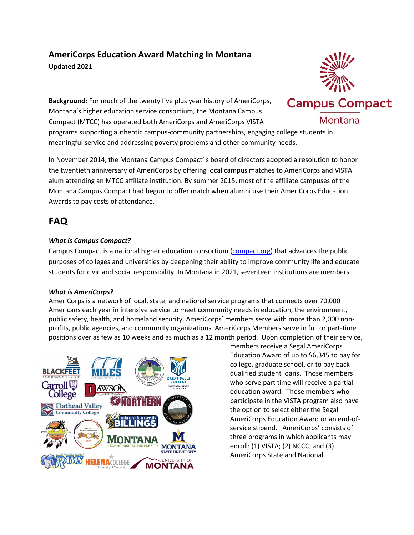## **AmeriCorps Education Award Matching In Montana Updated 2021**

**Background:** For much of the twenty five plus year history of AmeriCorps, Montana's higher education service consortium, the Montana Campus Compact (MTCC) has operated both AmeriCorps and AmeriCorps VISTA

programs supporting authentic campus-community partnerships, engaging college students in meaningful service and addressing poverty problems and other community needs.

In November 2014, the Montana Campus Compact' s board of directors adopted a resolution to honor the twentieth anniversary of AmeriCorps by offering local campus matches to AmeriCorps and VISTA alum attending an MTCC affiliate institution. By summer 2015, most of the affiliate campuses of the Montana Campus Compact had begun to offer match when alumni use their AmeriCorps Education Awards to pay costs of attendance.

# **FAQ**

### *What is Campus Compact?*

Campus Compact is a national higher education consortium [\(compact.org\)](http://compact.org/) that advances the public purposes of colleges and universities by deepening their ability to improve community life and educate students for civic and social responsibility. In Montana in 2021, seventeen institutions are members.

#### *What is AmeriCorps?*

AmeriCorps is a network of local, state, and national service programs that connects over 70,000 Americans each year in intensive service to meet community needs in education, the environment, public safety, health, and homeland security. AmeriCorps' members serve with more than 2,000 nonprofits, public agencies, and community organizations. AmeriCorps Members serve in full or part-time positions over as few as 10 weeks and as much as a 12 month period. Upon completion of their service,



members receive a Segal AmeriCorps Education Award of up to \$6,345 to pay for college, graduate school, or to pay back qualified student loans. Those members who serve part time will receive a partial education award. Those members who participate in the VISTA program also have the option to select either the Segal AmeriCorps Education Award or an end-ofservice stipend. AmeriCorps' consists of three programs in which applicants may enroll: (1) VISTA; (2) NCCC; and (3) AmeriCorps State and National.

**Campus Compact** 

Montana